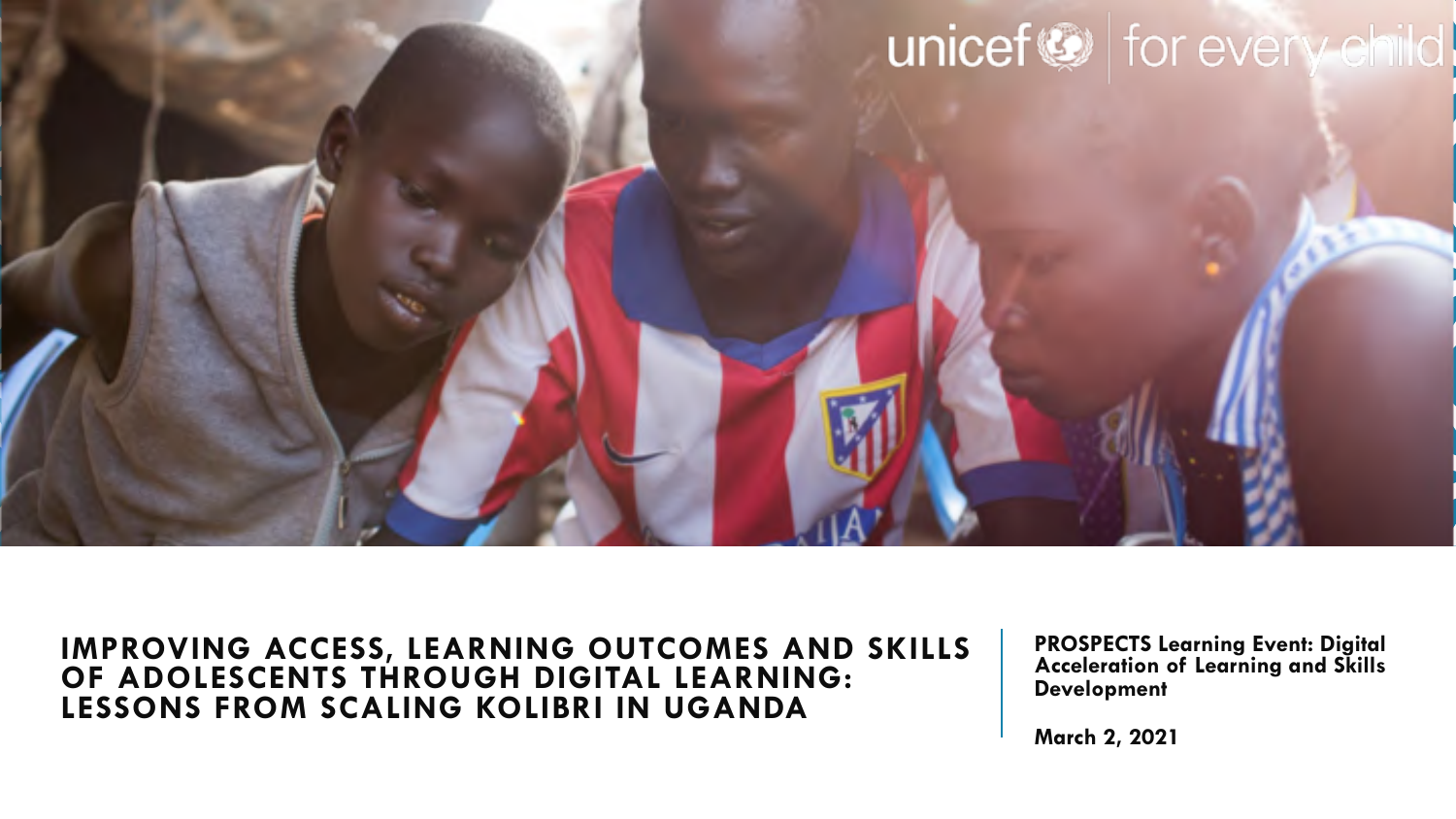

#### **IMPROVING ACCESS, LEARNING OUTCOMES AND SKILLS OF ADOLESCENTS THROUGH DIGITAL LEARNING: LESSONS FROM SCALING KOLIBRI IN UGANDA**

**PROSPECTS Learning Event: Digital Acceleration of Learning and Skills Development** 

**March 2, 2021**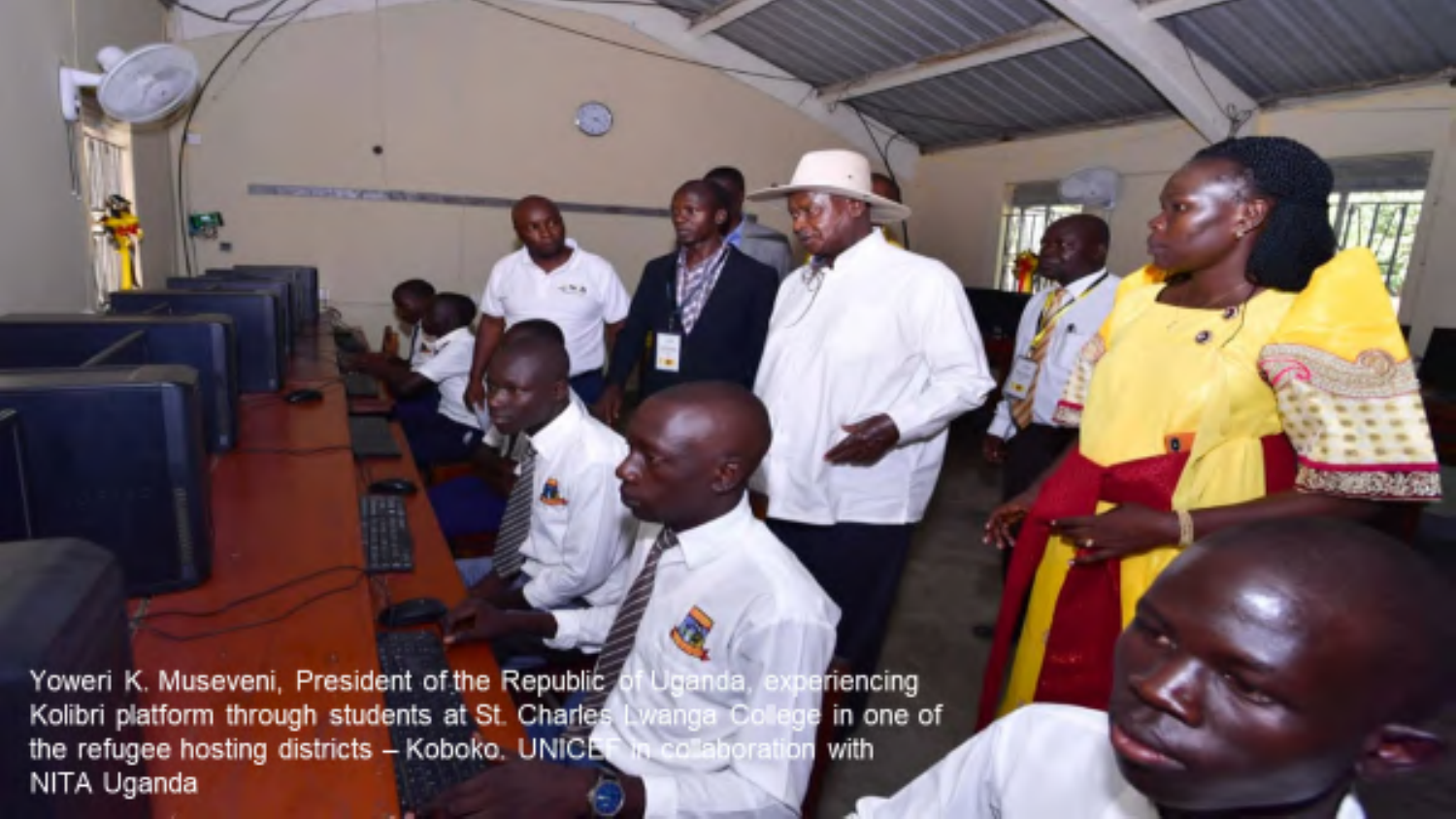Uganda, Yoweri K. Museveni, President of the Republic riencing Kolibri platform through students at St. Charles wanga Colege<br>In colaboration in one of the refugee hosting districts - Koboko, UNICH with NITA Uganda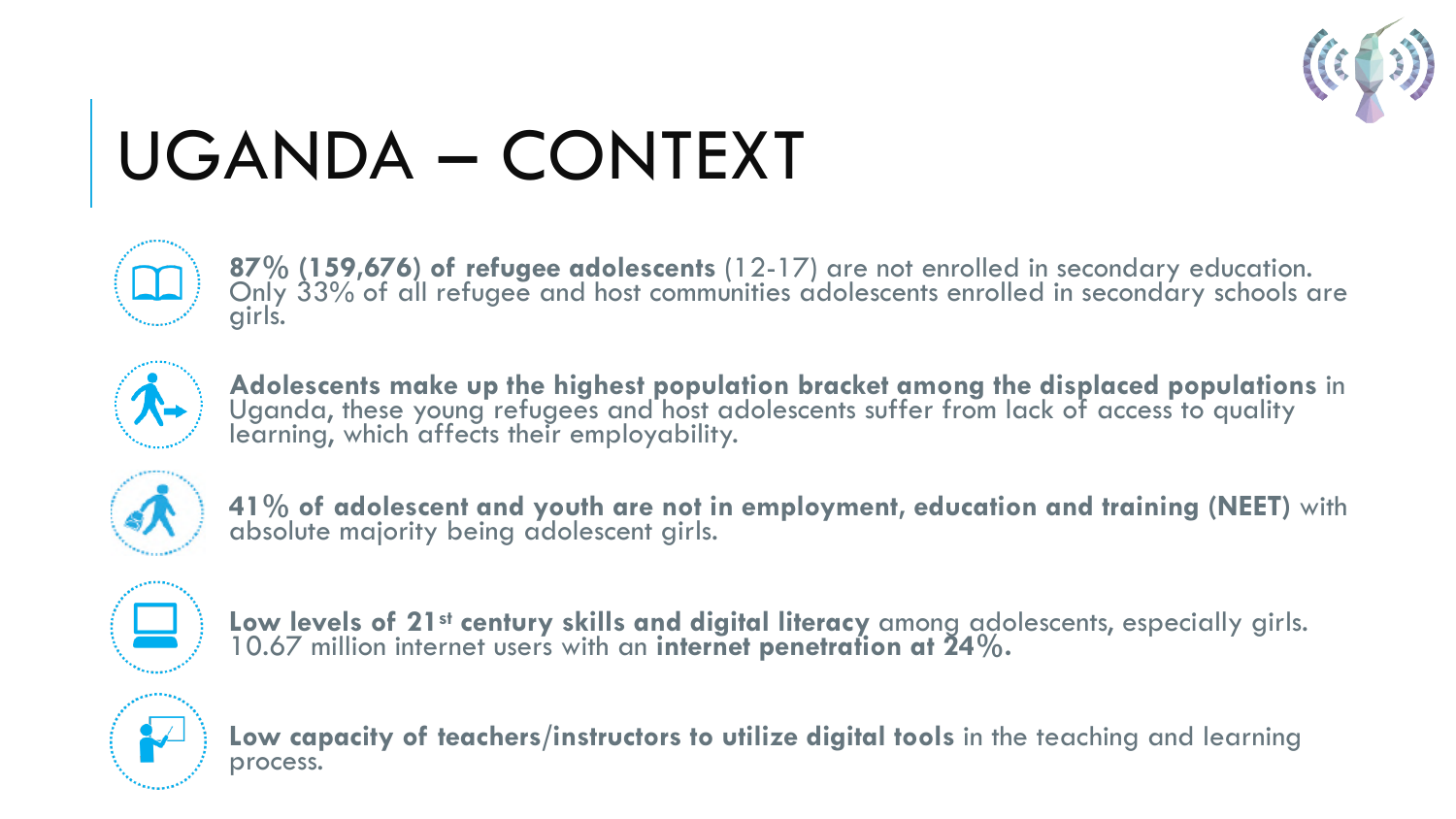

# UGANDA – CONTEXT



**87% (159,676) of refugee adolescents** (12-17) are not enrolled in secondary education. Only 33% of all refugee and host communities adolescents enrolled in secondary schools are girls.



**Adolescents make up the highest population bracket among the displaced populations** in Uganda, these young refugees and host adolescents suffer from lack of access to quality learning, which affects their employability.



**41% of adolescent and youth are not in employment, education and training (NEET)** with absolute majority being adolescent girls.



**Low levels of 21st century skills and digital literacy** among adolescents, especially girls. 10.67 million internet users with an **internet penetration at 24%.**



**Low capacity of teachers/instructors to utilize digital tools** in the teaching and learning process.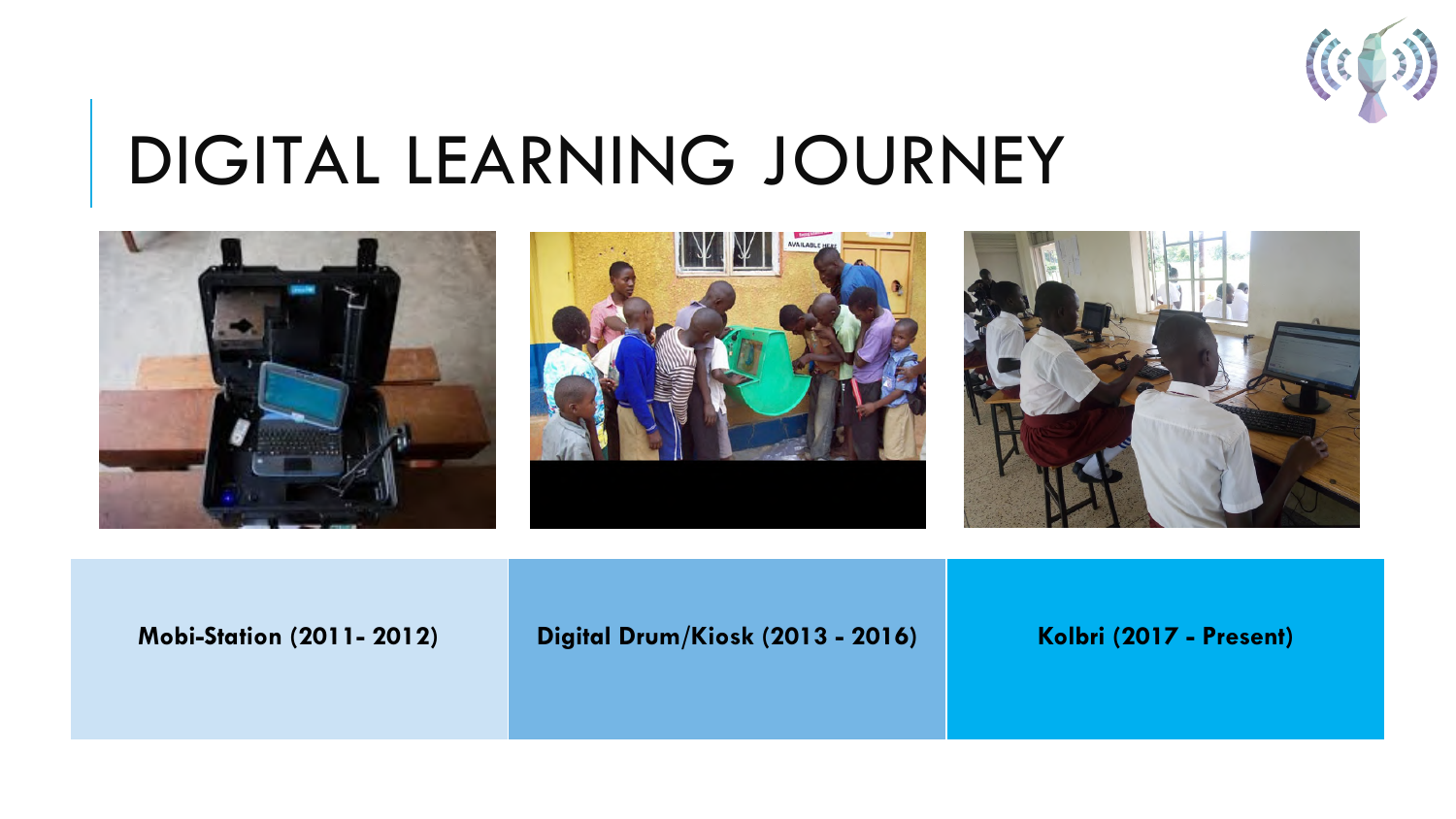

## DIGITAL LEARNING JOURNEY



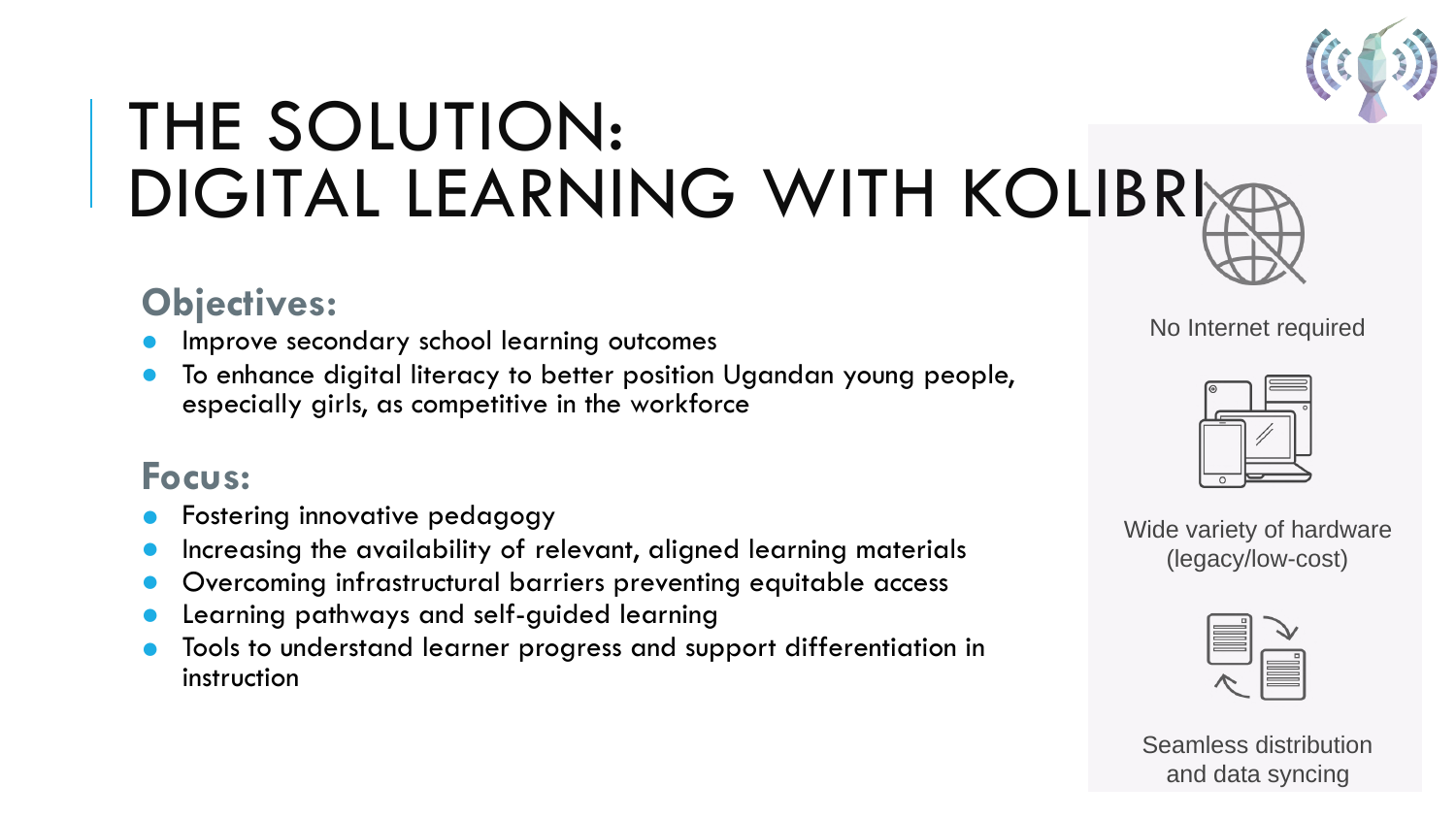

## THE SOLUTION: DIGITAL LEARNING WITH KOLIBRI

## **Objectives:**

- Improve secondary school learning outcomes
- To enhance digital literacy to better position Ugandan young people, especially girls, as competitive in the workforce

### **Focus:**

- Fostering innovative pedagogy
- Increasing the availability of relevant, aligned learning materials
- Overcoming infrastructural barriers preventing equitable access
- Learning pathways and self-guided learning
- Tools to understand learner progress and support differentiation in instruction

No Internet required



Wide variety of hardware (legacy/low-cost)



Seamless distribution and data syncing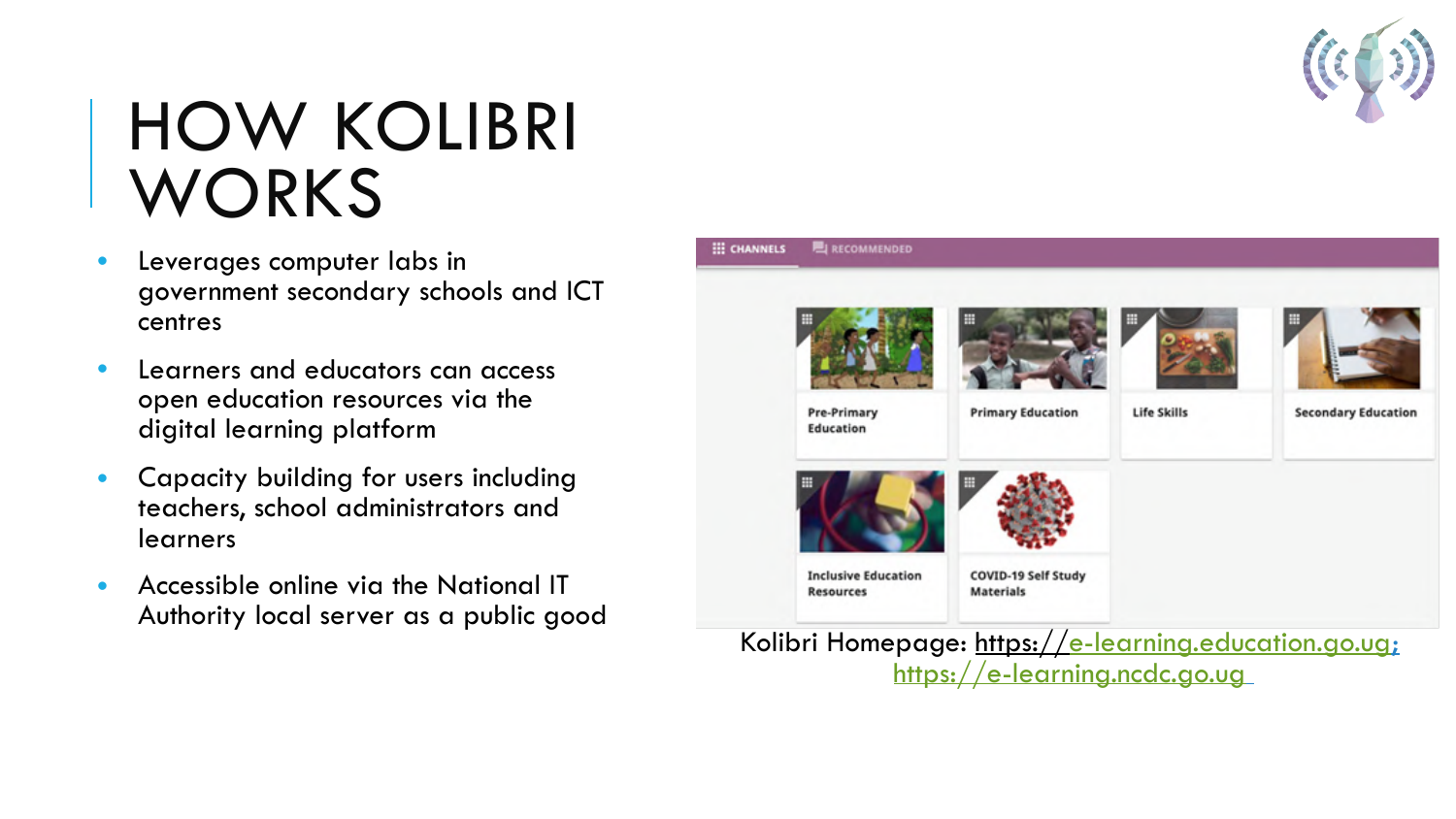

## HOW KOLIBRI WORKS

- Leverages computer labs in government secondary schools and ICT centres
- Learners and educators can access open education resources via the digital learning platform
- Capacity building for users including teachers, school administrators and learners
- Accessible online via the National IT Authority local server as a public good



Kolibri Homepage: https://[e-learning.education.go.ug](http://e-learning.education.go.ug/learn/#/topics); [https://e-learning.ncdc.go.ug](https://e-learning.ncdc.go.ug/)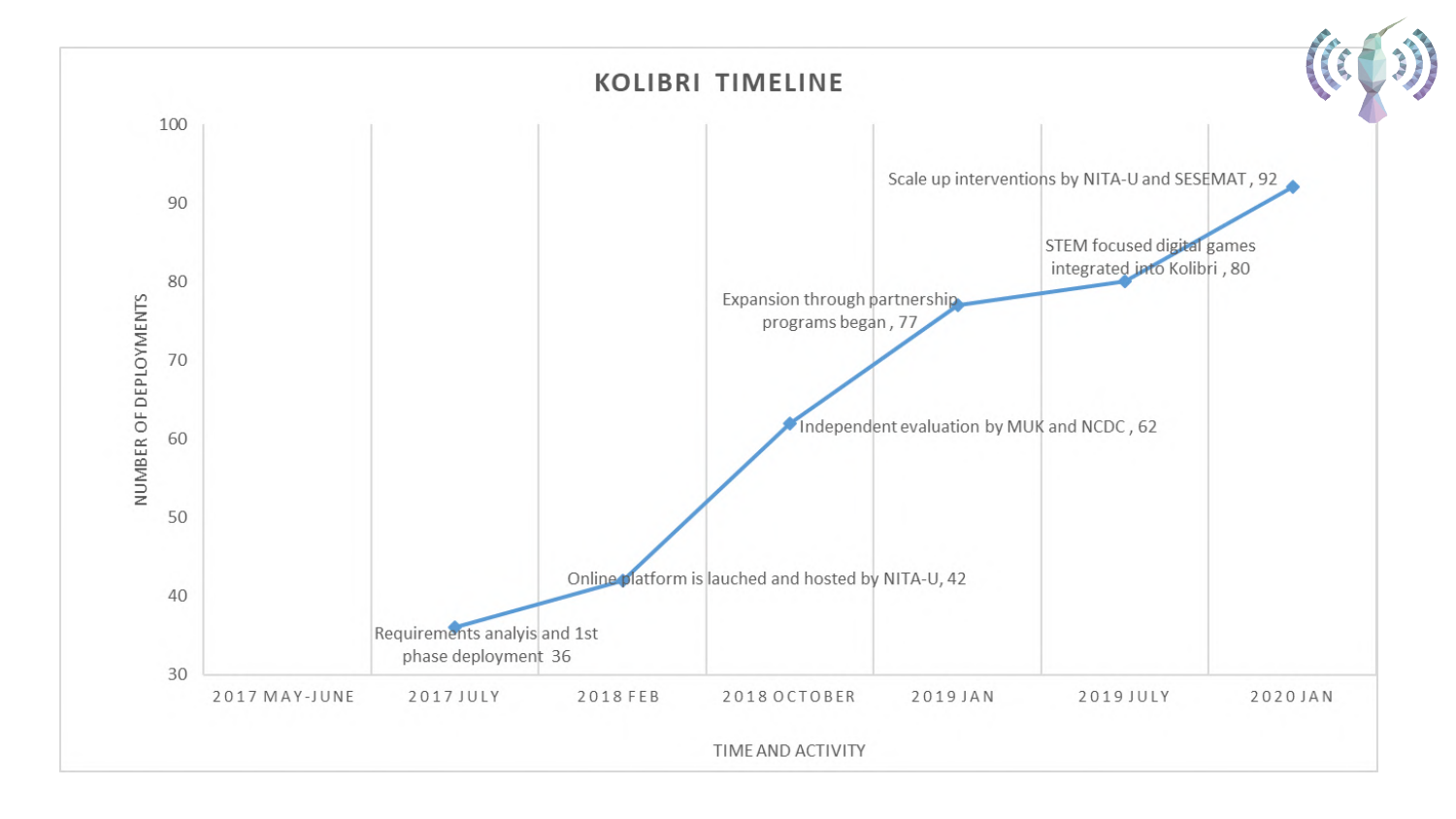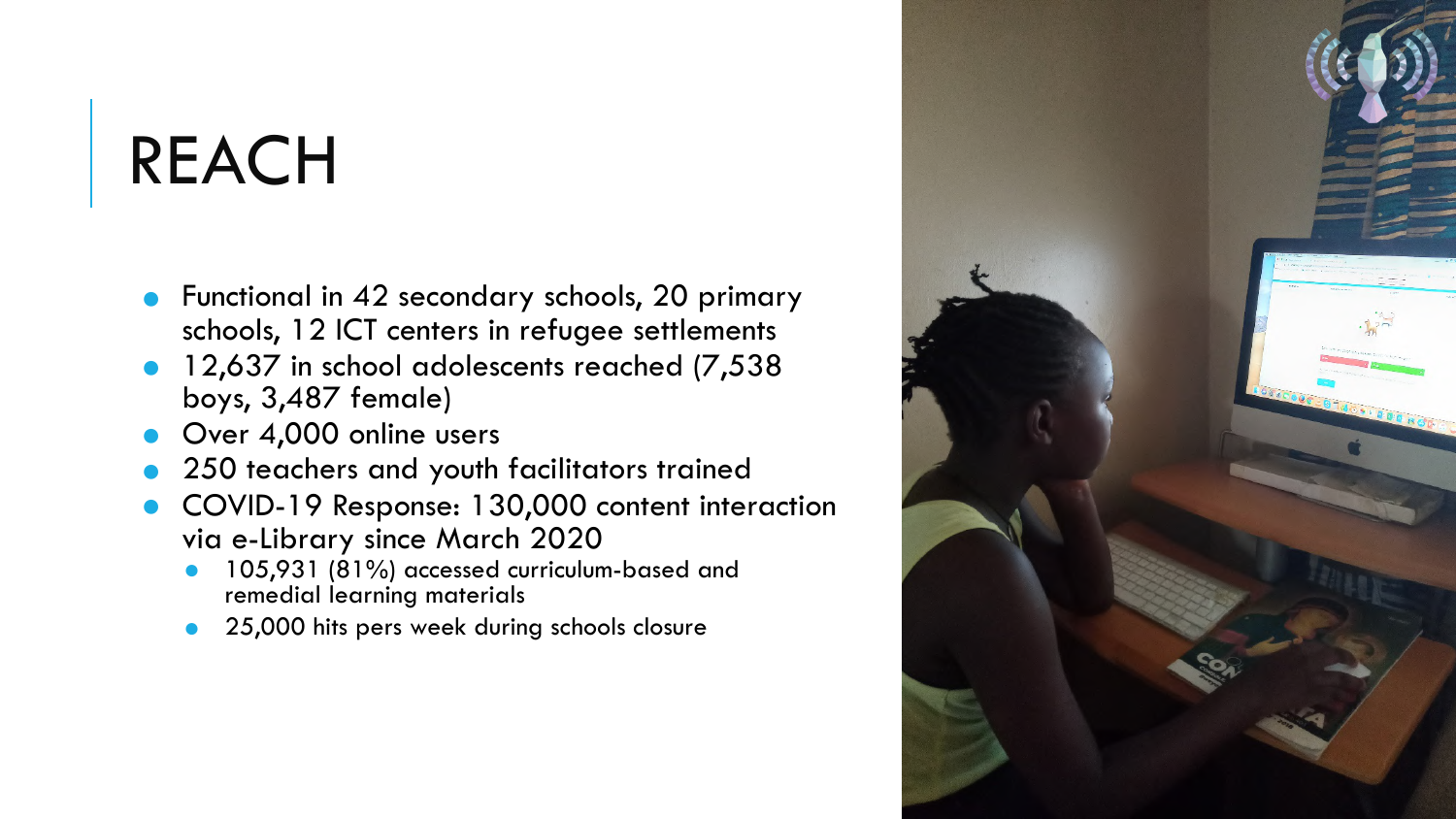## REACH

- Functional in 42 secondary schools, 20 primary schools, 12 ICT centers in refugee settlements
- 12,637 in school adolescents reached (7,538) boys, 3,487 female)
- Over 4,000 online users
- 250 teachers and youth facilitators trained
- COVID-19 Response: 130,000 content interaction via e-Library since March 2020
	- 105,931 (81%) accessed curriculum-based and remedial learning materials
	- 25,000 hits pers week during schools closure

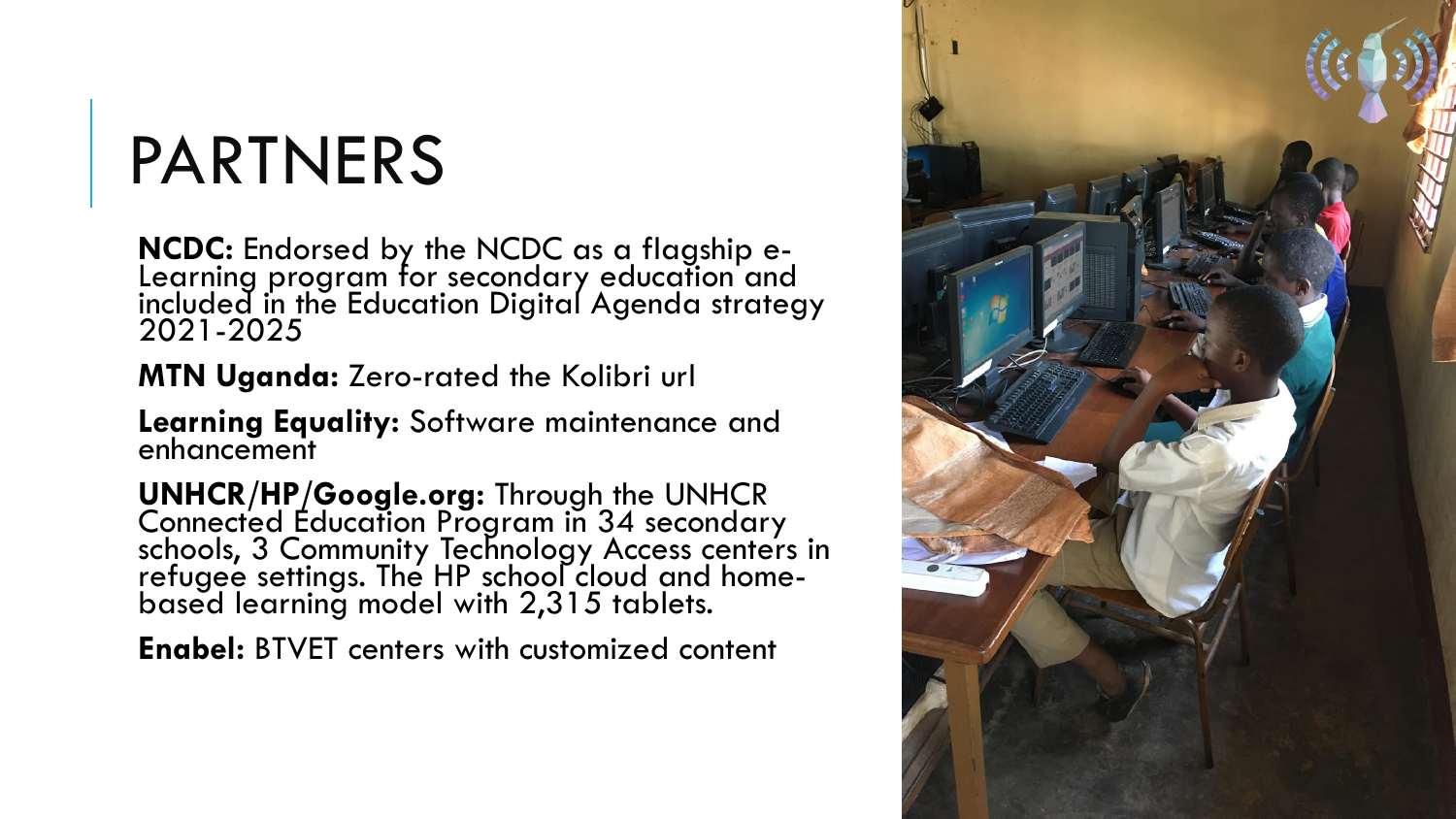## PARTNERS

**NCDC:** Endorsed by the NCDC as a flagship e- Learning program for secondary education and included in the Education Digital Agenda strategy 2021-2025

**MTN Uganda:** Zero-rated the Kolibri url

**Learning Equality:** Software maintenance and enhancement

**UNHCR/HP/Google.org:** Through the UNHCR Connected Education Program in 34 secondary schools, 3 Community Technology Access centers in refugee settings. The HP school cloud and homebased learning model with 2,315 tablets.

**Enabel:** BTVET centers with customized content

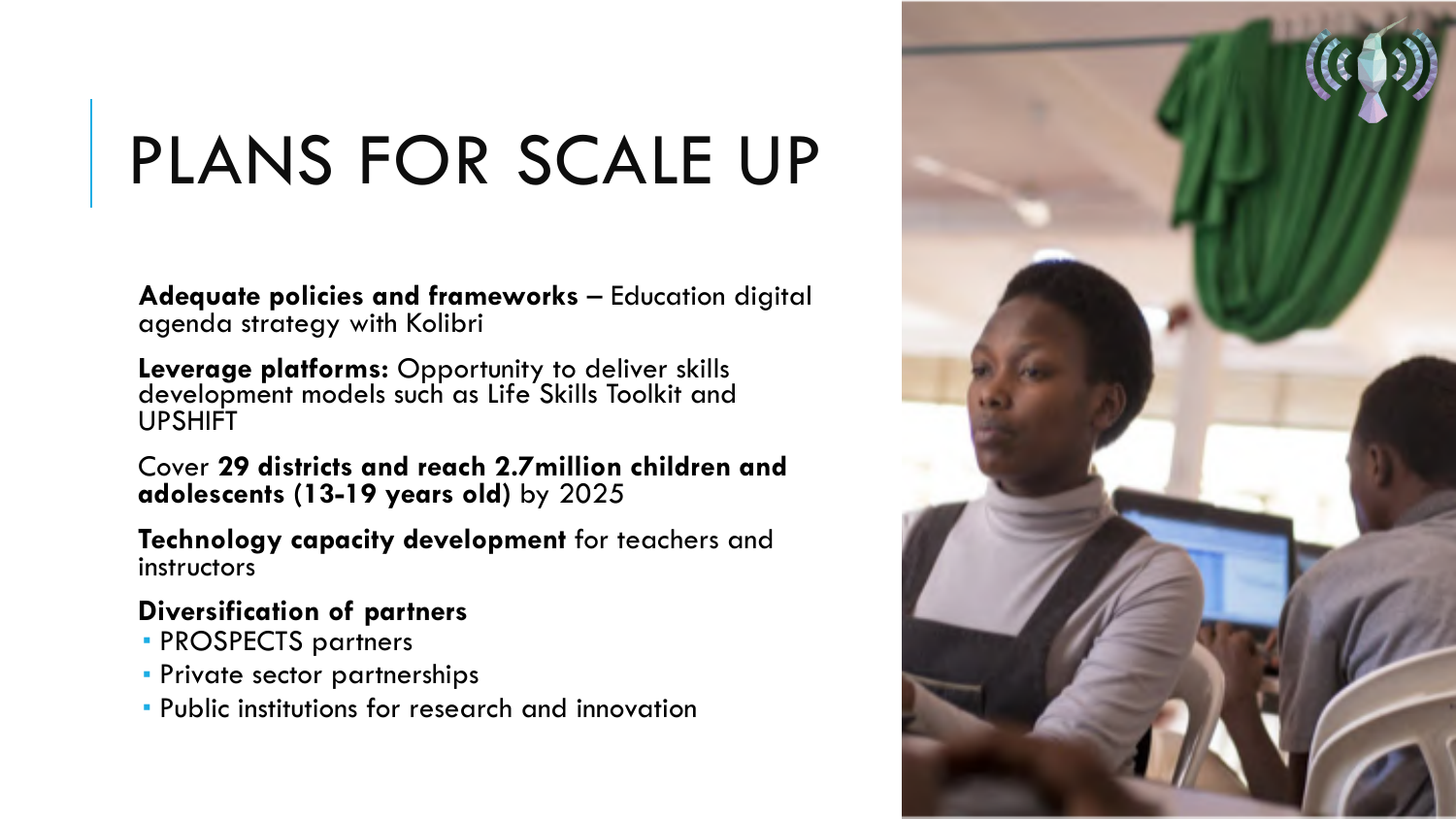# PLANS FOR SCALE UP

**Adequate policies and frameworks** – Education digital agenda strategy with Kolibri

**Leverage platforms:** Opportunity to deliver skills development models such as Life Skills Toolkit and UPSHIFT

Cover **29 districts and reach 2.7million children and adolescents (13-19 years old)** by 2025

**Technology capacity development** for teachers and instructors

### **Diversification of partners**

- ! PROSPECTS partners
- **Private sector partnerships**
- ! Public institutions for research and innovation